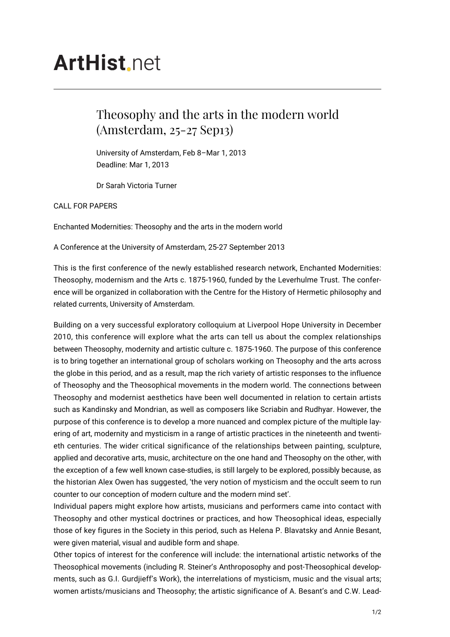## **ArtHist**, net

## Theosophy and the arts in the modern world (Amsterdam, 25-27 Sep13)

University of Amsterdam, Feb 8–Mar 1, 2013 Deadline: Mar 1, 2013

Dr Sarah Victoria Turner

CALL FOR PAPERS

Enchanted Modernities: Theosophy and the arts in the modern world

A Conference at the University of Amsterdam, 25-27 September 2013

This is the first conference of the newly established research network, Enchanted Modernities: Theosophy, modernism and the Arts c. 1875-1960, funded by the Leverhulme Trust. The conference will be organized in collaboration with the Centre for the History of Hermetic philosophy and related currents, University of Amsterdam.

Building on a very successful exploratory colloquium at Liverpool Hope University in December 2010, this conference will explore what the arts can tell us about the complex relationships between Theosophy, modernity and artistic culture c. 1875-1960. The purpose of this conference is to bring together an international group of scholars working on Theosophy and the arts across the globe in this period, and as a result, map the rich variety of artistic responses to the influence of Theosophy and the Theosophical movements in the modern world. The connections between Theosophy and modernist aesthetics have been well documented in relation to certain artists such as Kandinsky and Mondrian, as well as composers like Scriabin and Rudhyar. However, the purpose of this conference is to develop a more nuanced and complex picture of the multiple layering of art, modernity and mysticism in a range of artistic practices in the nineteenth and twentieth centuries. The wider critical significance of the relationships between painting, sculpture, applied and decorative arts, music, architecture on the one hand and Theosophy on the other, with the exception of a few well known case-studies, is still largely to be explored, possibly because, as the historian Alex Owen has suggested, 'the very notion of mysticism and the occult seem to run counter to our conception of modern culture and the modern mind set'.

Individual papers might explore how artists, musicians and performers came into contact with Theosophy and other mystical doctrines or practices, and how Theosophical ideas, especially those of key figures in the Society in this period, such as Helena P. Blavatsky and Annie Besant, were given material, visual and audible form and shape.

Other topics of interest for the conference will include: the international artistic networks of the Theosophical movements (including R. Steiner's Anthroposophy and post-Theosophical developments, such as G.I. Gurdjieff's Work), the interrelations of mysticism, music and the visual arts; women artists/musicians and Theosophy; the artistic significance of A. Besant's and C.W. Lead-